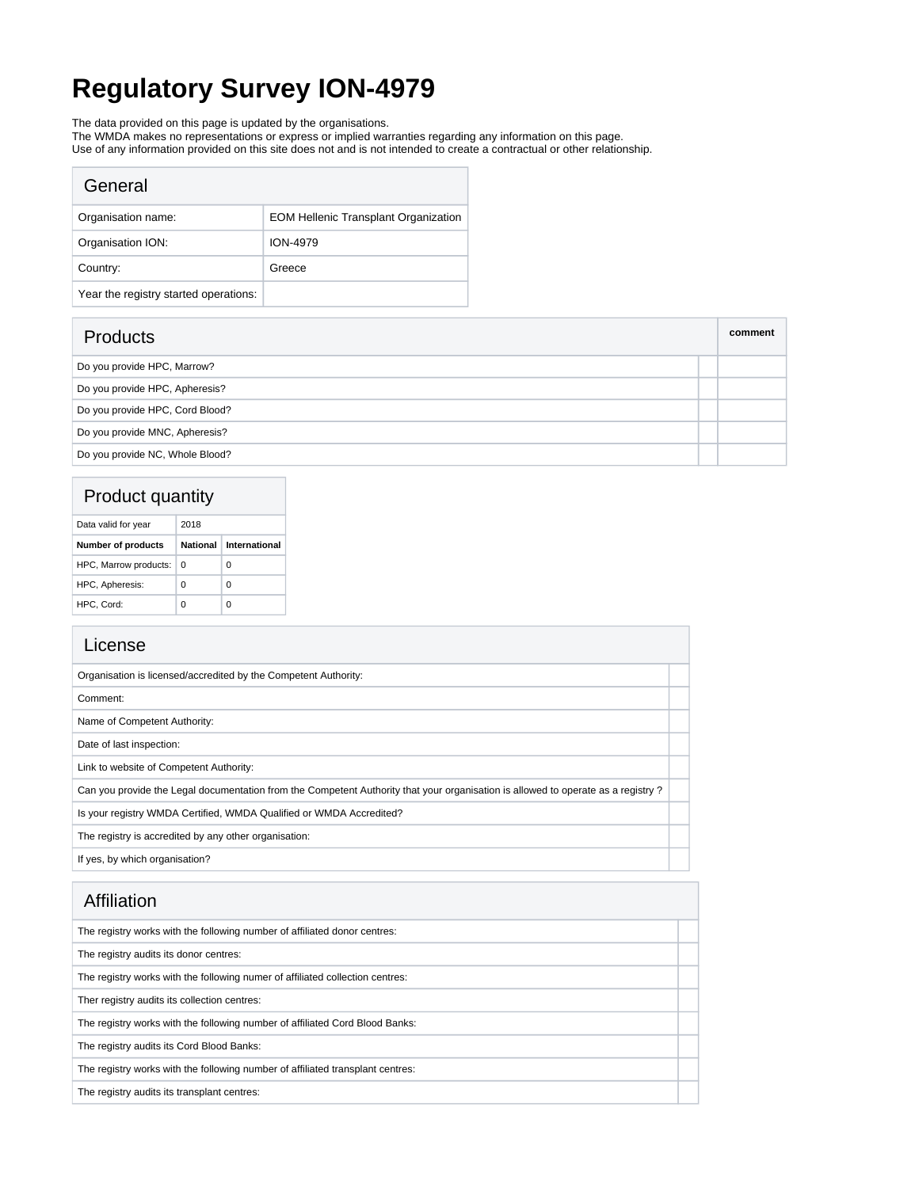# **Regulatory Survey ION-4979**

The data provided on this page is updated by the organisations.

The WMDA makes no representations or express or implied warranties regarding any information on this page.

Use of any information provided on this site does not and is not intended to create a contractual or other relationship.

| General                               |                                             |
|---------------------------------------|---------------------------------------------|
| Organisation name:                    | <b>EOM Hellenic Transplant Organization</b> |
| Organisation ION:                     | <b>ION-4979</b>                             |
| Country:                              | Greece                                      |
| Year the registry started operations: |                                             |

| <b>Products</b>                 | comment |
|---------------------------------|---------|
| Do you provide HPC, Marrow?     |         |
| Do you provide HPC, Apheresis?  |         |
| Do you provide HPC, Cord Blood? |         |
| Do you provide MNC, Apheresis?  |         |
| Do you provide NC, Whole Blood? |         |

## Product quantity

| Data valid for year       | 2018     |               |  |
|---------------------------|----------|---------------|--|
| <b>Number of products</b> | National | International |  |
| HPC, Marrow products:     | 0        | 0             |  |
| HPC, Apheresis:           | 0        | 0             |  |
| HPC, Cord:                |          |               |  |

| License                                                                                                                          |  |
|----------------------------------------------------------------------------------------------------------------------------------|--|
| Organisation is licensed/accredited by the Competent Authority:                                                                  |  |
| Comment:                                                                                                                         |  |
| Name of Competent Authority:                                                                                                     |  |
| Date of last inspection:                                                                                                         |  |
| Link to website of Competent Authority:                                                                                          |  |
| Can you provide the Legal documentation from the Competent Authority that your organisation is allowed to operate as a registry? |  |
| Is your registry WMDA Certified, WMDA Qualified or WMDA Accredited?                                                              |  |
| The registry is accredited by any other organisation:                                                                            |  |
| If yes, by which organisation?                                                                                                   |  |

| Affiliation                                                                    |  |
|--------------------------------------------------------------------------------|--|
| The registry works with the following number of affiliated donor centres:      |  |
| The registry audits its donor centres:                                         |  |
| The registry works with the following numer of affiliated collection centres:  |  |
| Ther registry audits its collection centres:                                   |  |
| The registry works with the following number of affiliated Cord Blood Banks:   |  |
| The registry audits its Cord Blood Banks:                                      |  |
| The registry works with the following number of affiliated transplant centres: |  |
| The registry audits its transplant centres:                                    |  |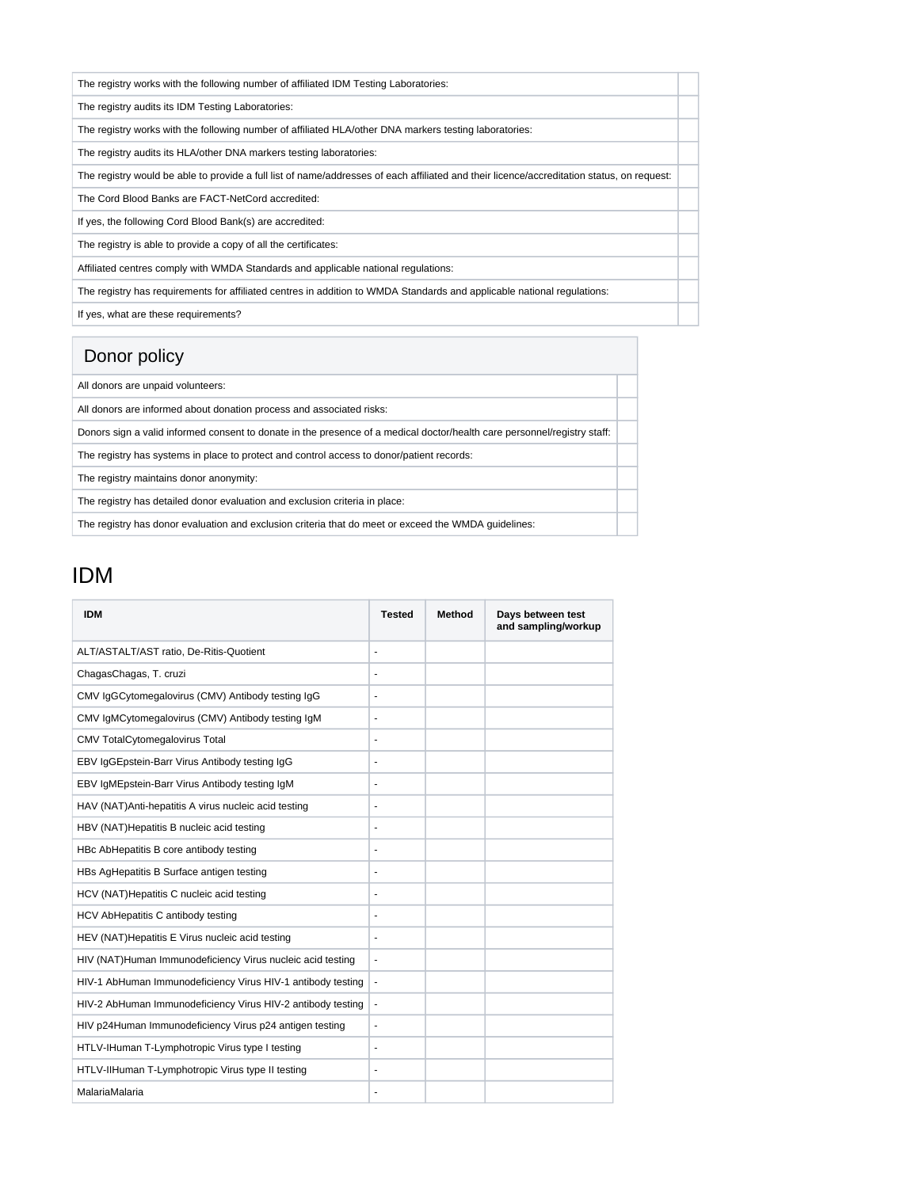| The registry works with the following number of affiliated IDM Testing Laboratories:                                                       |  |
|--------------------------------------------------------------------------------------------------------------------------------------------|--|
| The registry audits its IDM Testing Laboratories:                                                                                          |  |
| The registry works with the following number of affiliated HLA/other DNA markers testing laboratories:                                     |  |
| The registry audits its HLA/other DNA markers testing laboratories:                                                                        |  |
| The registry would be able to provide a full list of name/addresses of each affiliated and their licence/accreditation status, on request: |  |
| The Cord Blood Banks are FACT-NetCord accredited:                                                                                          |  |
| If yes, the following Cord Blood Bank(s) are accredited:                                                                                   |  |
| The registry is able to provide a copy of all the certificates:                                                                            |  |
| Affiliated centres comply with WMDA Standards and applicable national regulations:                                                         |  |
| The registry has requirements for affiliated centres in addition to WMDA Standards and applicable national regulations:                    |  |
| If yes, what are these requirements?                                                                                                       |  |

## Donor policy

| All donors are unpaid volunteers:                                                                                        |  |
|--------------------------------------------------------------------------------------------------------------------------|--|
| All donors are informed about donation process and associated risks:                                                     |  |
| Donors sign a valid informed consent to donate in the presence of a medical doctor/health care personnel/registry staff: |  |
| The registry has systems in place to protect and control access to donor/patient records:                                |  |
| The registry maintains donor anonymity:                                                                                  |  |
| The registry has detailed donor evaluation and exclusion criteria in place:                                              |  |
| The registry has donor evaluation and exclusion criteria that do meet or exceed the WMDA quidelines:                     |  |

## IDM

| <b>IDM</b>                                                  | <b>Tested</b>  | <b>Method</b> | Days between test<br>and sampling/workup |
|-------------------------------------------------------------|----------------|---------------|------------------------------------------|
| ALT/ASTALT/AST ratio, De-Ritis-Quotient                     | ä,             |               |                                          |
| ChagasChagas, T. cruzi                                      | ä,             |               |                                          |
| CMV IqGCytomegalovirus (CMV) Antibody testing IqG           | ä,             |               |                                          |
| CMV IqMCytomegalovirus (CMV) Antibody testing IqM           | $\blacksquare$ |               |                                          |
| <b>CMV TotalCytomegalovirus Total</b>                       | ÷,             |               |                                          |
| EBV IgGEpstein-Barr Virus Antibody testing IgG              | ÷,             |               |                                          |
| EBV IgMEpstein-Barr Virus Antibody testing IgM              | $\frac{1}{2}$  |               |                                          |
| HAV (NAT)Anti-hepatitis A virus nucleic acid testing        | ÷,             |               |                                          |
| HBV (NAT)Hepatitis B nucleic acid testing                   | ٠              |               |                                          |
| HBc AbHepatitis B core antibody testing                     | $\frac{1}{2}$  |               |                                          |
| HBs AgHepatitis B Surface antigen testing                   | ٠              |               |                                          |
| HCV (NAT) Hepatitis C nucleic acid testing                  | $\blacksquare$ |               |                                          |
| HCV AbHepatitis C antibody testing                          | ٠              |               |                                          |
| HEV (NAT) Hepatitis E Virus nucleic acid testing            | $\frac{1}{2}$  |               |                                          |
| HIV (NAT)Human Immunodeficiency Virus nucleic acid testing  | ÷,             |               |                                          |
| HIV-1 AbHuman Immunodeficiency Virus HIV-1 antibody testing | $\blacksquare$ |               |                                          |
| HIV-2 AbHuman Immunodeficiency Virus HIV-2 antibody testing | $\blacksquare$ |               |                                          |
| HIV p24Human Immunodeficiency Virus p24 antigen testing     | $\frac{1}{2}$  |               |                                          |
| HTLV-IHuman T-Lymphotropic Virus type I testing             | $\blacksquare$ |               |                                          |
| HTLV-IIHuman T-Lymphotropic Virus type II testing           | ÷,             |               |                                          |
| MalariaMalaria                                              | ÷,             |               |                                          |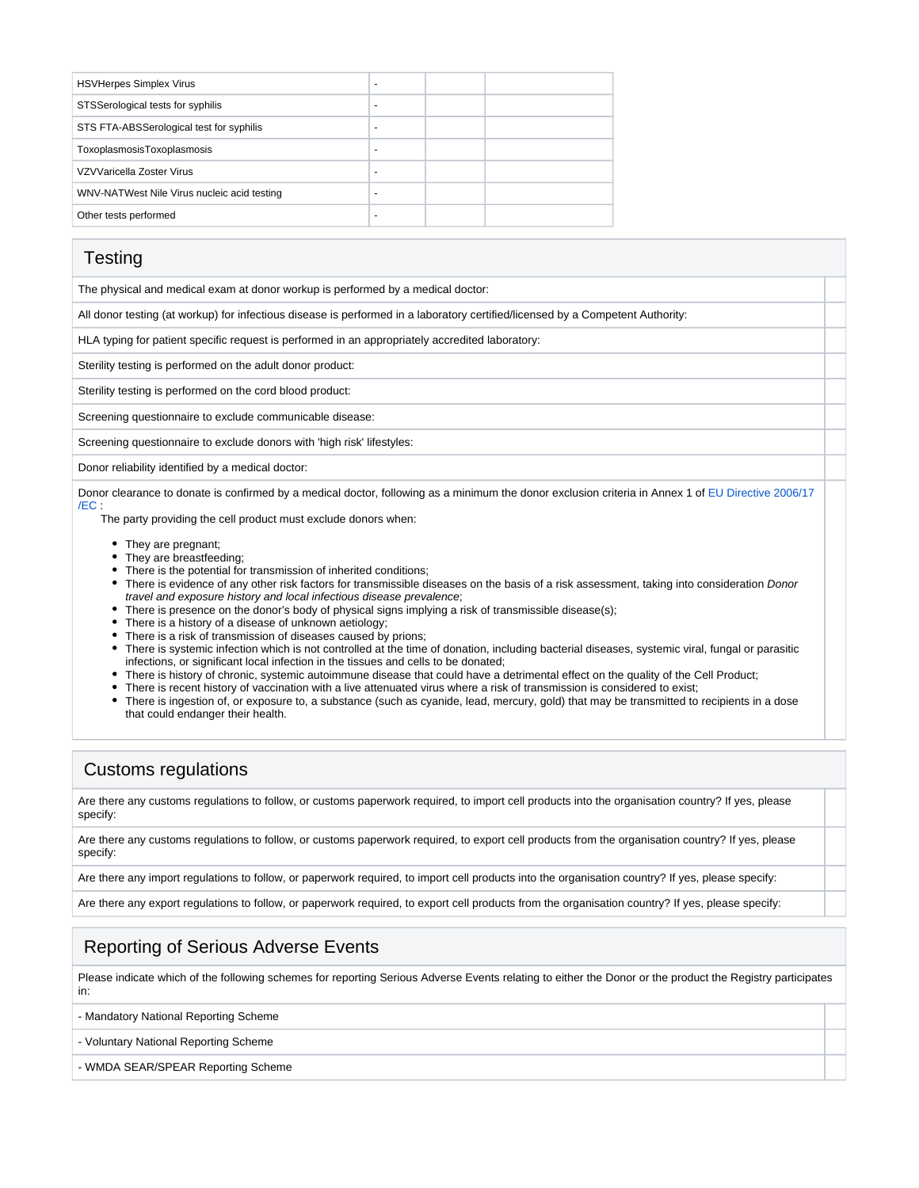| <b>HSVHerpes Simplex Virus</b>              | ۰                        |  |
|---------------------------------------------|--------------------------|--|
| STSSerological tests for syphilis           | ۰                        |  |
| STS FTA-ABSSerological test for syphilis    | ۰                        |  |
| ToxoplasmosisToxoplasmosis                  | $\overline{\phantom{a}}$ |  |
| VZVVaricella Zoster Virus                   | ۰                        |  |
| WNV-NATWest Nile Virus nucleic acid testing | ۰                        |  |
| Other tests performed                       |                          |  |

#### **Testing**

The physical and medical exam at donor workup is performed by a medical doctor:

All donor testing (at workup) for infectious disease is performed in a laboratory certified/licensed by a Competent Authority:

HLA typing for patient specific request is performed in an appropriately accredited laboratory:

Sterility testing is performed on the adult donor product:

Sterility testing is performed on the cord blood product:

Screening questionnaire to exclude communicable disease:

Screening questionnaire to exclude donors with 'high risk' lifestyles:

Donor reliability identified by a medical doctor:

Donor clearance to donate is confirmed by a medical doctor, following as a minimum the donor exclusion criteria in Annex 1 of [EU Directive 2006/17](https://eur-lex.europa.eu/legal-content/EN/TXT/?uri=celex%3A32006L0017) [/EC](https://eur-lex.europa.eu/legal-content/EN/TXT/?uri=celex%3A32006L0017) :

The party providing the cell product must exclude donors when:

- They are pregnant;
- They are breastfeeding;
- There is the potential for transmission of inherited conditions;
- There is evidence of any other risk factors for transmissible diseases on the basis of a risk assessment, taking into consideration Donor travel and exposure history and local infectious disease prevalence;
- There is presence on the donor's body of physical signs implying a risk of transmissible disease(s);
- There is a history of a disease of unknown aetiology;
- There is a risk of transmission of diseases caused by prions;
- There is systemic infection which is not controlled at the time of donation, including bacterial diseases, systemic viral, fungal or parasitic infections, or significant local infection in the tissues and cells to be donated;
- There is history of chronic, systemic autoimmune disease that could have a detrimental effect on the quality of the Cell Product;
- There is recent history of vaccination with a live attenuated virus where a risk of transmission is considered to exist;
- There is ingestion of, or exposure to, a substance (such as cyanide, lead, mercury, gold) that may be transmitted to recipients in a dose that could endanger their health.

#### Customs regulations

Are there any customs regulations to follow, or customs paperwork required, to import cell products into the organisation country? If yes, please specify:

Are there any customs regulations to follow, or customs paperwork required, to export cell products from the organisation country? If yes, please specify:

Are there any import regulations to follow, or paperwork required, to import cell products into the organisation country? If yes, please specify:

Are there any export regulations to follow, or paperwork required, to export cell products from the organisation country? If yes, please specify:

### Reporting of Serious Adverse Events

Please indicate which of the following schemes for reporting Serious Adverse Events relating to either the Donor or the product the Registry participates in:

- Mandatory National Reporting Scheme

- Voluntary National Reporting Scheme

- WMDA SEAR/SPEAR Reporting Scheme